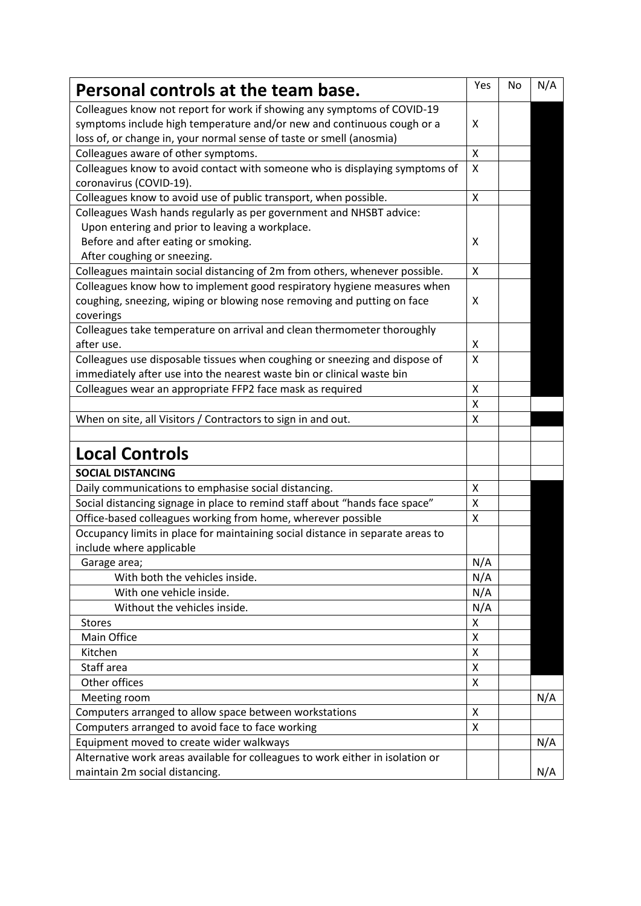| Personal controls at the team base.                                                                                                                                                                                       | Yes | No | N/A |
|---------------------------------------------------------------------------------------------------------------------------------------------------------------------------------------------------------------------------|-----|----|-----|
| Colleagues know not report for work if showing any symptoms of COVID-19<br>symptoms include high temperature and/or new and continuous cough or a<br>loss of, or change in, your normal sense of taste or smell (anosmia) | X   |    |     |
| Colleagues aware of other symptoms.                                                                                                                                                                                       | Χ   |    |     |
| Colleagues know to avoid contact with someone who is displaying symptoms of<br>coronavirus (COVID-19).                                                                                                                    | X   |    |     |
| Colleagues know to avoid use of public transport, when possible.                                                                                                                                                          | X   |    |     |
| Colleagues Wash hands regularly as per government and NHSBT advice:<br>Upon entering and prior to leaving a workplace.<br>Before and after eating or smoking.<br>After coughing or sneezing.                              | X   |    |     |
| Colleagues maintain social distancing of 2m from others, whenever possible.                                                                                                                                               | X   |    |     |
| Colleagues know how to implement good respiratory hygiene measures when<br>coughing, sneezing, wiping or blowing nose removing and putting on face<br>coverings                                                           | X   |    |     |
| Colleagues take temperature on arrival and clean thermometer thoroughly<br>after use.                                                                                                                                     | X   |    |     |
| Colleagues use disposable tissues when coughing or sneezing and dispose of<br>immediately after use into the nearest waste bin or clinical waste bin                                                                      | X   |    |     |
| Colleagues wear an appropriate FFP2 face mask as required                                                                                                                                                                 | X   |    |     |
|                                                                                                                                                                                                                           | Χ   |    |     |
| When on site, all Visitors / Contractors to sign in and out.                                                                                                                                                              | X   |    |     |
| <b>Local Controls</b>                                                                                                                                                                                                     |     |    |     |
| <b>SOCIAL DISTANCING</b>                                                                                                                                                                                                  |     |    |     |
| Daily communications to emphasise social distancing.                                                                                                                                                                      | X   |    |     |
| Social distancing signage in place to remind staff about "hands face space"                                                                                                                                               | Χ   |    |     |
| Office-based colleagues working from home, wherever possible                                                                                                                                                              | X   |    |     |
| Occupancy limits in place for maintaining social distance in separate areas to<br>include where applicable                                                                                                                |     |    |     |
| Garage area;                                                                                                                                                                                                              | N/A |    |     |
| With both the vehicles inside.                                                                                                                                                                                            | N/A |    |     |
| With one vehicle inside.                                                                                                                                                                                                  | N/A |    |     |
| Without the vehicles inside.                                                                                                                                                                                              | N/A |    |     |
| <b>Stores</b>                                                                                                                                                                                                             | X   |    |     |
| <b>Main Office</b>                                                                                                                                                                                                        | X   |    |     |
| Kitchen                                                                                                                                                                                                                   | X   |    |     |
| Staff area                                                                                                                                                                                                                | X   |    |     |
| Other offices                                                                                                                                                                                                             | X   |    |     |
| Meeting room                                                                                                                                                                                                              |     |    | N/A |
| Computers arranged to allow space between workstations                                                                                                                                                                    | X   |    |     |
| Computers arranged to avoid face to face working                                                                                                                                                                          | X   |    |     |
| Equipment moved to create wider walkways                                                                                                                                                                                  |     |    | N/A |
| Alternative work areas available for colleagues to work either in isolation or<br>maintain 2m social distancing.                                                                                                          |     |    | N/A |